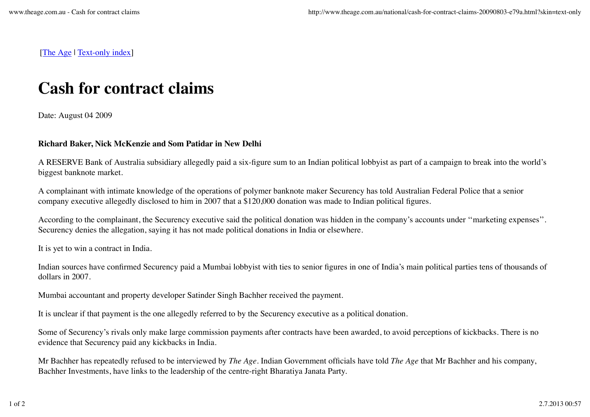[The Age | Text-only index]

## **Cash for contract claims**

Date: August 04 2009

## **Richard Baker, Nick McKenzie and Som Patidar in New Delhi**

A RESERVE Bank of Australia subsidiary allegedly paid a six-figure sum to an Indian political lobbyist as part of a campaign to break into the world's biggest banknote market.

A complainant with intimate knowledge of the operations of polymer banknote maker Securency has told Australian Federal Police that a senior company executive allegedly disclosed to him in 2007 that a \$120,000 donation was made to Indian political figures.

According to the complainant, the Securency executive said the political donation was hidden in the company's accounts under ''marketing expenses''. Securency denies the allegation, saying it has not made political donations in India or elsewhere.

It is yet to win a contract in India.

Indian sources have confirmed Securency paid a Mumbai lobbyist with ties to senior figures in one of India's main political parties tens of thousands of dollars in 2007.

Mumbai accountant and property developer Satinder Singh Bachher received the payment.

It is unclear if that payment is the one allegedly referred to by the Securency executive as a political donation.

Some of Securency's rivals only make large commission payments after contracts have been awarded, to avoid perceptions of kickbacks. There is no evidence that Securency paid any kickbacks in India.

Mr Bachher has repeatedly refused to be interviewed by *The Age*. Indian Government officials have told *The Age* that Mr Bachher and his company, Bachher Investments, have links to the leadership of the centre-right Bharatiya Janata Party.